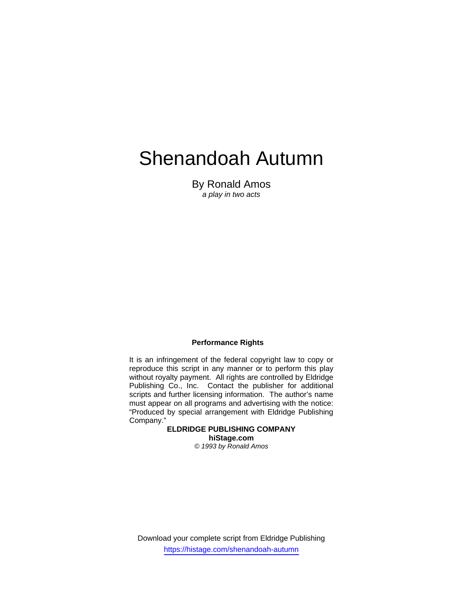# Shenandoah Autumn

By Ronald Amos *a play in two acts* 

## **Performance Rights**

It is an infringement of the federal copyright law to copy or reproduce this script in any manner or to perform this play without royalty payment. All rights are controlled by Eldridge Publishing Co., Inc. Contact the publisher for additional scripts and further licensing information. The author's name must appear on all programs and advertising with the notice: "Produced by special arrangement with Eldridge Publishing Company."

> **ELDRIDGE PUBLISHING COMPANY hiStage.com**  *© 1993 by Ronald Amos*

Download your complete script from Eldridge Publishing https://histage.com/shenandoah-autumn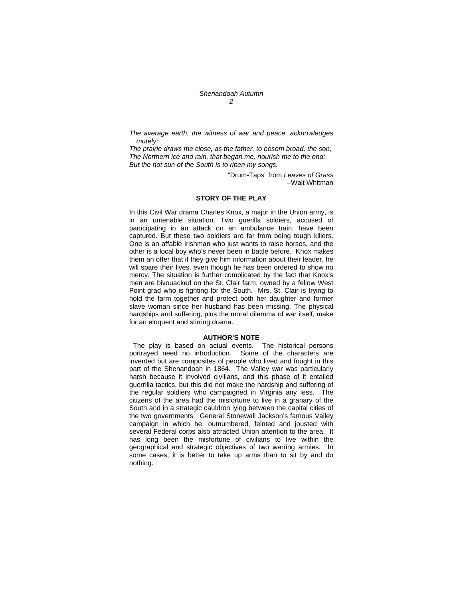*Shenandoah Autumn - 2 -* 

*The average earth, the witness of war and peace, acknowledges mutely;* 

*The prairie draws me close, as the father, to bosom broad, the son; The Northern ice and rain, that began me, nourish me to the end; But the hot sun of the South is to ripen my songs.* 

> "Drum-Taps" from *Leaves of Grass* –Walt Whitman

#### **STORY OF THE PLAY**

In this Civil War drama Charles Knox, a major in the Union army, is in an untenable situation. Two guerilla soldiers, accused of participating in an attack on an ambulance train, have been captured. But these two soldiers are far from being tough killers. One is an affable Irishman who just wants to raise horses, and the other is a local boy who's never been in battle before. Knox makes them an offer that if they give him information about their leader, he will spare their lives, even though he has been ordered to show no mercy. The situation is further complicated by the fact that Knox's men are bivouacked on the St. Clair farm, owned by a fellow West Point grad who is fighting for the South. Mrs. St. Clair is trying to hold the farm together and protect both her daughter and former slave woman since her husband has been missing. The physical hardships and suffering, plus the moral dilemma of war itself, make for an eloquent and stirring drama.

#### **AUTHOR'S NOTE**

 The play is based on actual events. The historical persons portrayed need no introduction. Some of the characters are invented but are composites of people who lived and fought in this part of the Shenandoah in 1864. The Valley war was particularly harsh because it involved civilians, and this phase of it entailed guerrilla tactics, but this did not make the hardship and suffering of the regular soldiers who campaigned in Virginia any less. The citizens of the area had the misfortune to live in a granary of the South and in a strategic cauldron lying between the capital cities of the two governments. General Stonewall Jackson's famous Valley campaign in which he, outnumbered, feinted and jousted with several Federal corps also attracted Union attention to the area. It has long been the misfortune of civilians to live within the geographical and strategic objectives of two warring armies. In some cases, it is better to take up arms than to sit by and do nothing.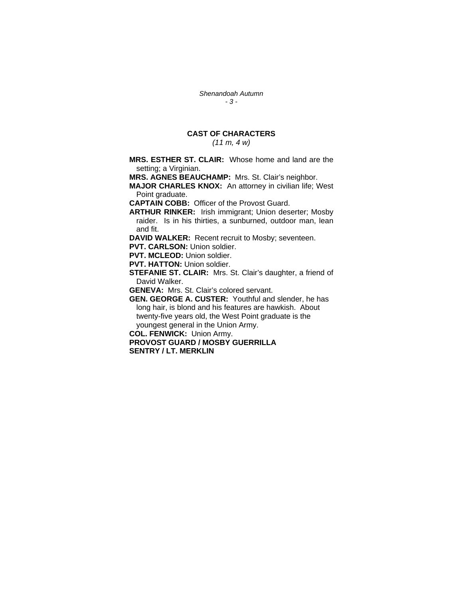*Shenandoah Autumn - 3 -* 

## **CAST OF CHARACTERS**

*(11 m, 4 w)* 

**MRS. ESTHER ST. CLAIR:** Whose home and land are the setting; a Virginian.

**MRS. AGNES BEAUCHAMP:** Mrs. St. Clair's neighbor.

**MAJOR CHARLES KNOX:** An attorney in civilian life; West Point graduate.

**CAPTAIN COBB:** Officer of the Provost Guard.

**ARTHUR RINKER:** Irish immigrant; Union deserter; Mosby raider. Is in his thirties, a sunburned, outdoor man, lean and fit.

**DAVID WALKER:** Recent recruit to Mosby; seventeen.

**PVT. CARLSON:** Union soldier.

**PVT. MCLEOD:** Union soldier.

**PVT. HATTON:** Union soldier.

**STEFANIE ST. CLAIR:** Mrs. St. Clair's daughter, a friend of David Walker.

**GENEVA:** Mrs. St. Clair's colored servant.

**GEN. GEORGE A. CUSTER:** Youthful and slender, he has long hair, is blond and his features are hawkish. About twenty-five years old, the West Point graduate is the youngest general in the Union Army.

**COL. FENWICK:** Union Army.

**PROVOST GUARD / MOSBY GUERRILLA SENTRY / LT. MERKLIN**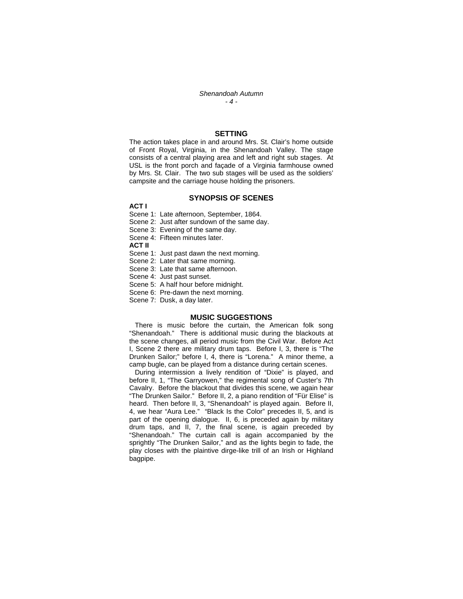#### *Shenandoah Autumn - 4 -*

#### **SETTING**

The action takes place in and around Mrs. St. Clair's home outside of Front Royal, Virginia, in the Shenandoah Valley. The stage consists of a central playing area and left and right sub stages. At USL is the front porch and façade of a Virginia farmhouse owned by Mrs. St. Clair. The two sub stages will be used as the soldiers' campsite and the carriage house holding the prisoners.

#### **SYNOPSIS OF SCENES**

**ACT I** 

Scene 1: Late afternoon, September, 1864.

Scene 2: Just after sundown of the same day.

Scene 3: Evening of the same day.

Scene 4: Fifteen minutes later.

**ACT II** 

Scene 1: Just past dawn the next morning.

Scene 2: Later that same morning.

Scene 3: Late that same afternoon.

Scene 4: Just past sunset.

Scene 5: A half hour before midnight.

Scene 6: Pre-dawn the next morning.

Scene 7: Dusk, a day later.

### **MUSIC SUGGESTIONS**

 There is music before the curtain, the American folk song "Shenandoah." There is additional music during the blackouts at the scene changes, all period music from the Civil War. Before Act I, Scene 2 there are military drum taps. Before I, 3, there is "The Drunken Sailor;" before I, 4, there is "Lorena." A minor theme, a camp bugle, can be played from a distance during certain scenes.

 During intermission a lively rendition of "Dixie" is played, and before II, 1, "The Garryowen," the regimental song of Custer's 7th Cavalry. Before the blackout that divides this scene, we again hear "The Drunken Sailor." Before II, 2, a piano rendition of "Für Elise" is heard. Then before II, 3, "Shenandoah" is played again. Before II, 4, we hear "Aura Lee." "Black Is the Color" precedes II, 5, and is part of the opening dialogue. II, 6, is preceded again by military drum taps, and II, 7, the final scene, is again preceded by "Shenandoah." The curtain call is again accompanied by the sprightly "The Drunken Sailor," and as the lights begin to fade, the play closes with the plaintive dirge-like trill of an Irish or Highland bagpipe.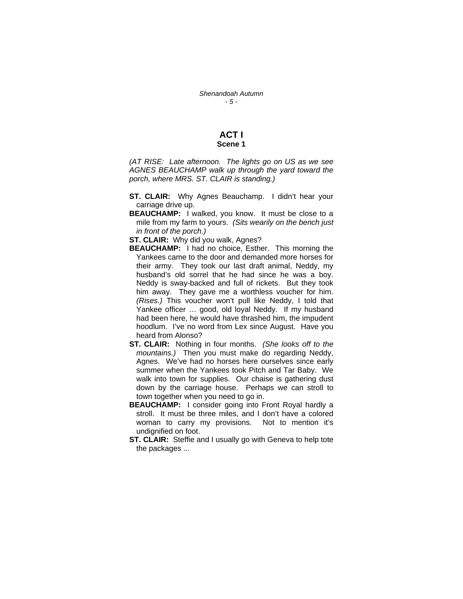#### **ACT I Scene 1**

*(AT RISE: Late afternoon. The lights go on US as we see AGNES BEAUCHAMP walk up through the yard toward the porch, where MRS. ST. CLAIR is standing.)* 

- **ST. CLAIR:** Why Agnes Beauchamp. I didn't hear your carriage drive up.
- **BEAUCHAMP:** I walked, you know. It must be close to a mile from my farm to yours. *(Sits wearily on the bench just in front of the porch.)*

**ST. CLAIR:** Why did you walk, Agnes?

- **BEAUCHAMP:** I had no choice, Esther. This morning the Yankees came to the door and demanded more horses for their army. They took our last draft animal, Neddy, my husband's old sorrel that he had since he was a boy. Neddy is sway-backed and full of rickets. But they took him away. They gave me a worthless voucher for him. *(Rises.)* This voucher won't pull like Neddy, I told that Yankee officer … good, old loyal Neddy. If my husband had been here, he would have thrashed him, the impudent hoodlum. I've no word from Lex since August. Have you heard from Alonso?
- **ST. CLAIR:** Nothing in four months. *(She looks off to the mountains.)* Then you must make do regarding Neddy, Agnes. We've had no horses here ourselves since early summer when the Yankees took Pitch and Tar Baby. We walk into town for supplies. Our chaise is gathering dust down by the carriage house. Perhaps we can stroll to town together when you need to go in.
- **BEAUCHAMP:** I consider going into Front Royal hardly a stroll. It must be three miles, and I don't have a colored woman to carry my provisions. Not to mention it's undignified on foot.
- **ST. CLAIR:** Steffie and I usually go with Geneva to help tote the packages ...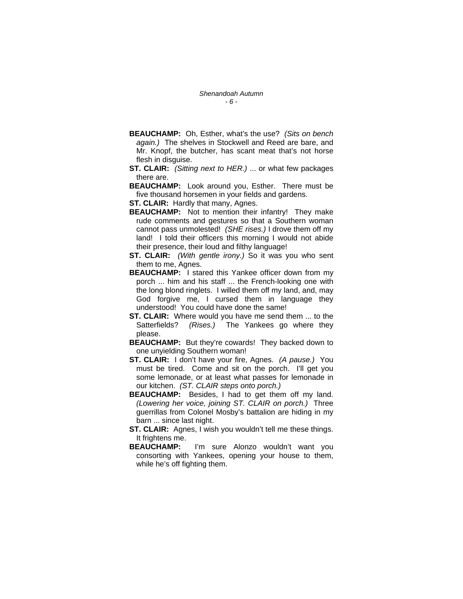- **BEAUCHAMP:** Oh, Esther, what's the use? *(Sits on bench again.)* The shelves in Stockwell and Reed are bare, and Mr. Knopf, the butcher, has scant meat that's not horse flesh in disguise.
- **ST. CLAIR:** *(Sitting next to HER.)* ... or what few packages there are.
- **BEAUCHAMP:** Look around you, Esther. There must be five thousand horsemen in your fields and gardens.
- **ST. CLAIR:** Hardly that many, Agnes.
- **BEAUCHAMP:** Not to mention their infantry! They make rude comments and gestures so that a Southern woman cannot pass unmolested! *(SHE rises.)* I drove them off my land! I told their officers this morning I would not abide their presence, their loud and filthy language!
- **ST. CLAIR:** *(With gentle irony.)* So it was you who sent them to me, Agnes.
- **BEAUCHAMP:** I stared this Yankee officer down from my porch ... him and his staff ... the French-looking one with the long blond ringlets. I willed them off my land, and, may God forgive me, I cursed them in language they understood! You could have done the same!
- **ST. CLAIR:** Where would you have me send them ... to the Satterfields? *(Rises.)* The Yankees go where they please.
- **BEAUCHAMP:** But they're cowards! They backed down to one unyielding Southern woman!
- **ST. CLAIR:** I don't have your fire, Agnes. *(A pause.)* You must be tired. Come and sit on the porch. I'll get you some lemonade, or at least what passes for lemonade in our kitchen. *(ST. CLAIR steps onto porch.)*
- **BEAUCHAMP:** Besides, I had to get them off my land. *(Lowering her voice, joining ST. CLAIR on porch.)* Three guerrillas from Colonel Mosby's battalion are hiding in my barn ... since last night.
- **ST. CLAIR:** Agnes, I wish you wouldn't tell me these things. It frightens me.
- **BEAUCHAMP:** I'm sure Alonzo wouldn't want you consorting with Yankees, opening your house to them, while he's off fighting them.